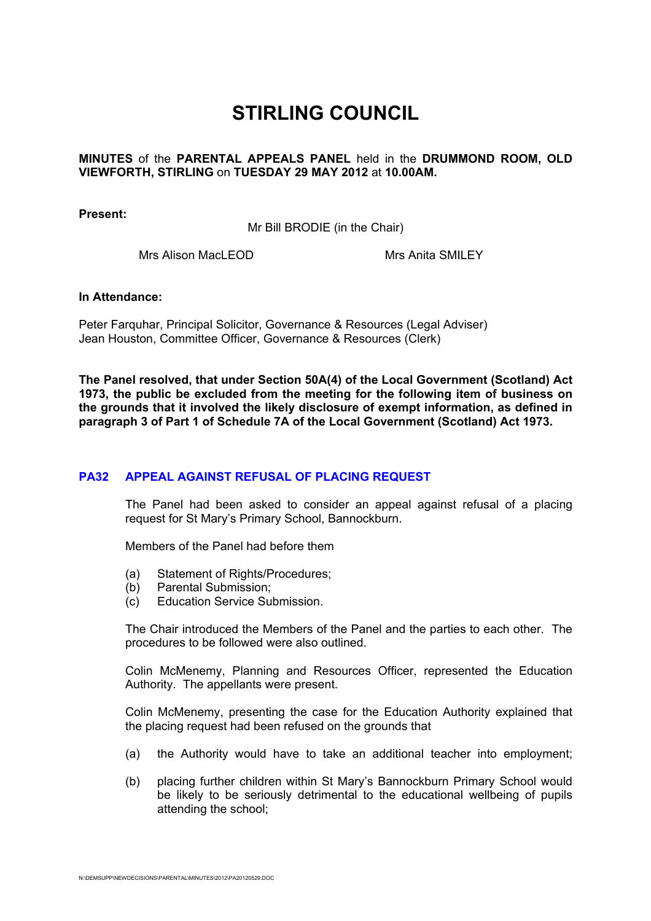# **STIRLING COUNCIL**

### **MINUTES** of the **PARENTAL APPEALS PANEL** held in the **DRUMMOND ROOM, OLD VIEWFORTH, STIRLING** on **TUESDAY 29 MAY 2012** at **10.00AM.**

**Present:** 

Mr Bill BRODIE (in the Chair)

Mrs Alison MacLEOD Mrs Anita SMILEY

### **In Attendance:**

Peter Farquhar, Principal Solicitor, Governance & Resources (Legal Adviser) Jean Houston, Committee Officer, Governance & Resources (Clerk)

**The Panel resolved, that under Section 50A(4) of the Local Government (Scotland) Act 1973, the public be excluded from the meeting for the following item of business on the grounds that it involved the likely disclosure of exempt information, as defined in paragraph 3 of Part 1 of Schedule 7A of the Local Government (Scotland) Act 1973.** 

## **[PA32 APPEAL AGAINST REFUSAL OF PLACING REQUEST](/forms/request.htm)**

The Panel had been asked to consider an appeal against refusal of a placing request for St Mary's Primary School, Bannockburn.

Members of the Panel had before them

- (a) Statement of Rights/Procedures;
- (b) Parental Submission;
- (c) Education Service Submission.

The Chair introduced the Members of the Panel and the parties to each other. The procedures to be followed were also outlined.

Colin McMenemy, Planning and Resources Officer, represented the Education Authority. The appellants were present.

Colin McMenemy, presenting the case for the Education Authority explained that the placing request had been refused on the grounds that

- (a) the Authority would have to take an additional teacher into employment;
- (b) placing further children within St Mary's Bannockburn Primary School would be likely to be seriously detrimental to the educational wellbeing of pupils attending the school;